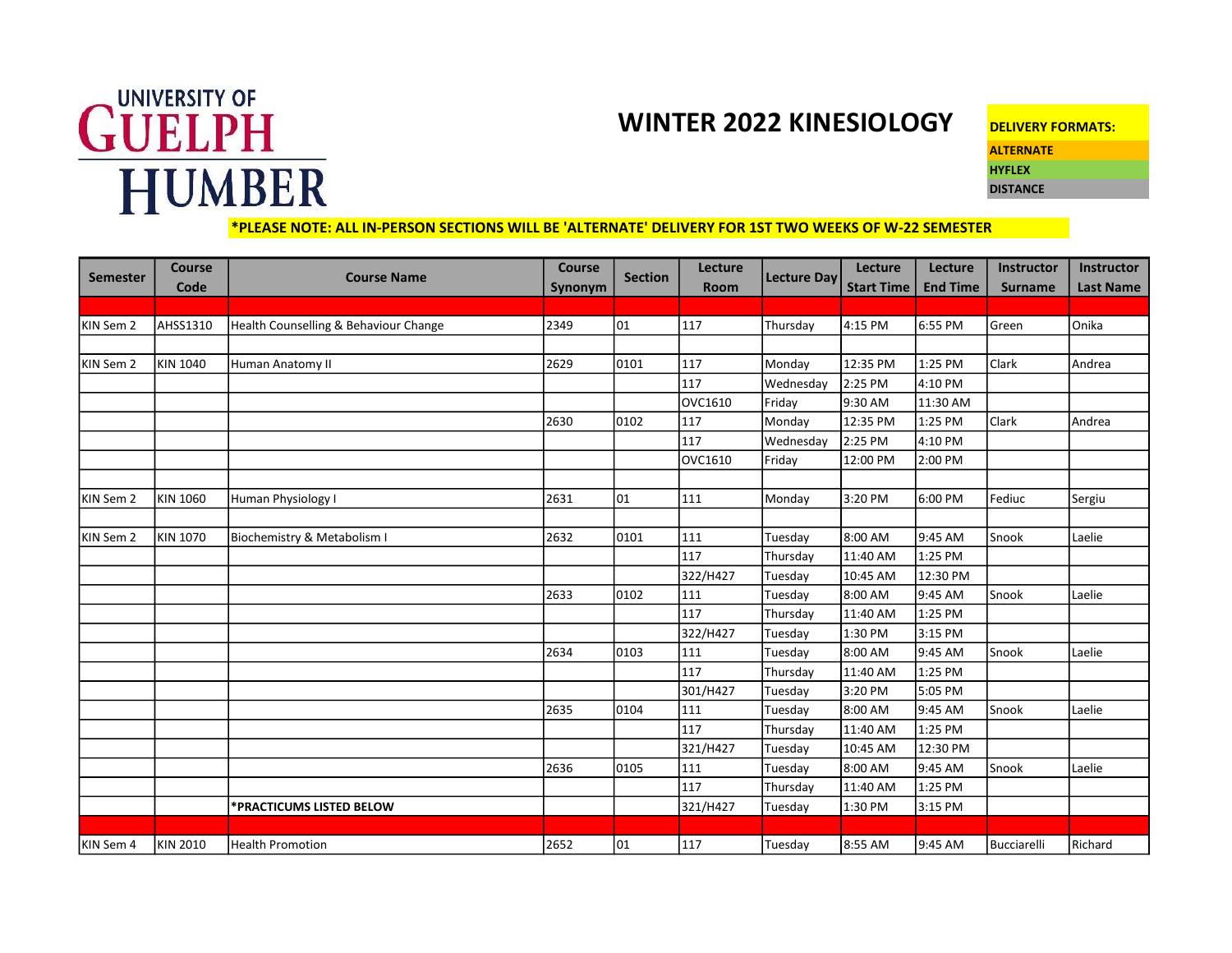

## WINTER 2022 KINESIOLOGY DELIVERY FORMATS:

**ALTERNATE** HYFLEX **DISTANCE** 

## \*PLEASE NOTE: ALL IN-PERSON SECTIONS WILL BE 'ALTERNATE' DELIVERY FOR 1ST TWO WEEKS OF W-22 SEMESTER

| <b>Semester</b> | <b>Course</b><br>Code | <b>Course Name</b>                    | Course<br>Synonym | <b>Section</b> | Lecture<br><b>Room</b> | <b>Lecture Day</b> | Lecture<br><b>Start Time</b> | Lecture<br><b>End Time</b> | Instructor<br><b>Surname</b> | <b>Instructor</b><br><b>Last Name</b> |
|-----------------|-----------------------|---------------------------------------|-------------------|----------------|------------------------|--------------------|------------------------------|----------------------------|------------------------------|---------------------------------------|
|                 |                       |                                       |                   |                |                        |                    |                              |                            |                              |                                       |
| KIN Sem 2       | AHSS1310              | Health Counselling & Behaviour Change | 2349              | 01             | 117                    | Thursday           | 4:15 PM                      | 6:55 PM                    | Green                        | Onika                                 |
|                 |                       |                                       |                   |                |                        |                    |                              |                            |                              |                                       |
| KIN Sem 2       | KIN 1040              | Human Anatomy II                      | 2629              | 0101           | 117                    | Monday             | 12:35 PM                     | 1:25 PM                    | Clark                        | Andrea                                |
|                 |                       |                                       |                   |                | 117                    | Wednesday          | 2:25 PM                      | 4:10 PM                    |                              |                                       |
|                 |                       |                                       |                   |                | OVC1610                | Friday             | 9:30 AM                      | 11:30 AM                   |                              |                                       |
|                 |                       |                                       | 2630              | 0102           | 117                    | Monday             | 12:35 PM                     | 1:25 PM                    | Clark                        | Andrea                                |
|                 |                       |                                       |                   |                | 117                    | Wednesday          | 2:25 PM                      | 4:10 PM                    |                              |                                       |
|                 |                       |                                       |                   |                | OVC1610                | Friday             | 12:00 PM                     | 2:00 PM                    |                              |                                       |
|                 |                       |                                       |                   |                |                        |                    |                              |                            |                              |                                       |
| KIN Sem 2       | KIN 1060              | Human Physiology I                    | 2631              | 101            | 111                    | Monday             | 3:20 PM                      | 6:00 PM                    | Fediuc                       | Sergiu                                |
|                 |                       |                                       |                   |                |                        |                    |                              |                            |                              |                                       |
| KIN Sem 2       | <b>KIN 1070</b>       | Biochemistry & Metabolism I           | 2632              | 0101           | 111                    | Tuesday            | 8:00 AM                      | 9:45 AM                    | <b>Snook</b>                 | Laelie                                |
|                 |                       |                                       |                   |                | 117                    | Thursday           | 11:40 AM                     | 1:25 PM                    |                              |                                       |
|                 |                       |                                       |                   |                | 322/H427               | Tuesday            | 10:45 AM                     | 12:30 PM                   |                              |                                       |
|                 |                       |                                       | 2633              | 0102           | 111                    | Tuesday            | 8:00 AM                      | 9:45 AM                    | Snook                        | Laelie                                |
|                 |                       |                                       |                   |                | 117                    | Thursday           | 11:40 AM                     | 1:25 PM                    |                              |                                       |
|                 |                       |                                       |                   |                | 322/H427               | Tuesday            | 1:30 PM                      | 3:15 PM                    |                              |                                       |
|                 |                       |                                       | 2634              | 0103           | 111                    | Tuesday            | 8:00 AM                      | 9:45 AM                    | Snook                        | Laelie                                |
|                 |                       |                                       |                   |                | 117                    | Thursday           | 11:40 AM                     | 1:25 PM                    |                              |                                       |
|                 |                       |                                       |                   |                | 301/H427               | Tuesday            | 3:20 PM                      | 5:05 PM                    |                              |                                       |
|                 |                       |                                       | 2635              | 0104           | 111                    | Tuesday            | 8:00 AM                      | 9:45 AM                    | Snook                        | Laelie                                |
|                 |                       |                                       |                   |                | 117                    | Thursday           | 11:40 AM                     | 1:25 PM                    |                              |                                       |
|                 |                       |                                       |                   |                | 321/H427               | Tuesday            | 10:45 AM                     | 12:30 PM                   |                              |                                       |
|                 |                       |                                       | 2636              | 0105           | 111                    | Tuesday            | 8:00 AM                      | 9:45 AM                    | Snook                        | Laelie                                |
|                 |                       |                                       |                   |                | 117                    | Thursday           | 11:40 AM                     | 1:25 PM                    |                              |                                       |
|                 |                       | *PRACTICUMS LISTED BELOW              |                   |                | 321/H427               | Tuesday            | 1:30 PM                      | 3:15 PM                    |                              |                                       |
|                 |                       |                                       |                   |                |                        |                    |                              |                            |                              |                                       |
| KIN Sem 4       | KIN 2010              | <b>Health Promotion</b>               | 2652              | 01             | 117                    | Tuesday            | 8:55 AM                      | 9:45 AM                    | Bucciarelli                  | Richard                               |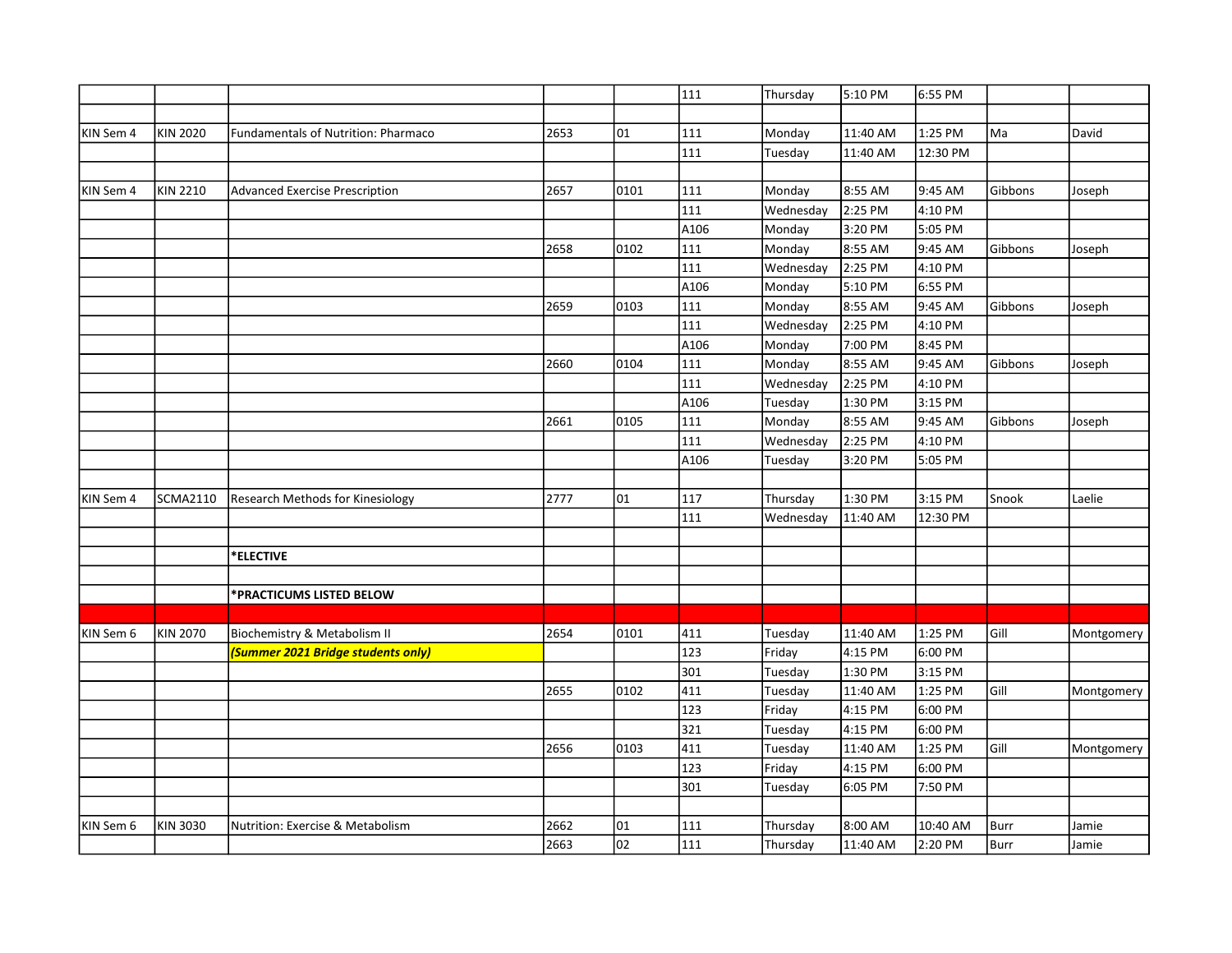|           |                 |                                       |      |      | 111  | Thursday  | 5:10 PM  | 6:55 PM  |         |            |
|-----------|-----------------|---------------------------------------|------|------|------|-----------|----------|----------|---------|------------|
|           |                 |                                       |      |      |      |           |          |          |         |            |
| KIN Sem 4 | KIN 2020        | Fundamentals of Nutrition: Pharmaco   | 2653 | 01   | 111  | Monday    | 11:40 AM | 1:25 PM  | Ma      | David      |
|           |                 |                                       |      |      | 111  | Tuesday   | 11:40 AM | 12:30 PM |         |            |
|           |                 |                                       |      |      |      |           |          |          |         |            |
| KIN Sem 4 | KIN 2210        | <b>Advanced Exercise Prescription</b> | 2657 | 0101 | 111  | Monday    | 8:55 AM  | 9:45 AM  | Gibbons | Joseph     |
|           |                 |                                       |      |      | 111  | Wednesday | 2:25 PM  | 4:10 PM  |         |            |
|           |                 |                                       |      |      | A106 | Monday    | 3:20 PM  | 5:05 PM  |         |            |
|           |                 |                                       | 2658 | 0102 | 111  | Monday    | 8:55 AM  | 9:45 AM  | Gibbons | Joseph     |
|           |                 |                                       |      |      | 111  | Wednesday | 2:25 PM  | 4:10 PM  |         |            |
|           |                 |                                       |      |      | A106 | Monday    | 5:10 PM  | 6:55 PM  |         |            |
|           |                 |                                       | 2659 | 0103 | 111  | Monday    | 8:55 AM  | 9:45 AM  | Gibbons | Joseph     |
|           |                 |                                       |      |      | 111  | Wednesday | 2:25 PM  | 4:10 PM  |         |            |
|           |                 |                                       |      |      | A106 | Monday    | 7:00 PM  | 8:45 PM  |         |            |
|           |                 |                                       | 2660 | 0104 | 111  | Monday    | 8:55 AM  | 9:45 AM  | Gibbons | Joseph     |
|           |                 |                                       |      |      | 111  | Wednesday | 2:25 PM  | 4:10 PM  |         |            |
|           |                 |                                       |      |      | A106 | Tuesday   | 1:30 PM  | 3:15 PM  |         |            |
|           |                 |                                       | 2661 | 0105 | 111  | Monday    | 8:55 AM  | 9:45 AM  | Gibbons | Joseph     |
|           |                 |                                       |      |      | 111  | Wednesday | 2:25 PM  | 4:10 PM  |         |            |
|           |                 |                                       |      |      | A106 | Tuesday   | 3:20 PM  | 5:05 PM  |         |            |
|           |                 |                                       |      |      |      |           |          |          |         |            |
| KIN Sem 4 | <b>SCMA2110</b> | Research Methods for Kinesiology      | 2777 | 01   | 117  | Thursday  | 1:30 PM  | 3:15 PM  | Snook   | Laelie     |
|           |                 |                                       |      |      | 111  | Wednesday | 11:40 AM | 12:30 PM |         |            |
|           |                 |                                       |      |      |      |           |          |          |         |            |
|           |                 | *ELECTIVE                             |      |      |      |           |          |          |         |            |
|           |                 |                                       |      |      |      |           |          |          |         |            |
|           |                 | *PRACTICUMS LISTED BELOW              |      |      |      |           |          |          |         |            |
|           |                 |                                       |      |      |      |           |          |          |         |            |
| KIN Sem 6 | <b>KIN 2070</b> | Biochemistry & Metabolism II          | 2654 | 0101 | 411  | Tuesday   | 11:40 AM | 1:25 PM  | Gill    | Montgomery |
|           |                 | (Summer 2021 Bridge students only)    |      |      | 123  | Friday    | 4:15 PM  | 6:00 PM  |         |            |
|           |                 |                                       |      |      | 301  | Tuesday   | 1:30 PM  | 3:15 PM  |         |            |
|           |                 |                                       | 2655 | 0102 | 411  | Tuesday   | 11:40 AM | 1:25 PM  | Gill    | Montgomery |
|           |                 |                                       |      |      | 123  | Friday    | 4:15 PM  | 6:00 PM  |         |            |
|           |                 |                                       |      |      | 321  | Tuesday   | 4:15 PM  | 6:00 PM  |         |            |
|           |                 |                                       | 2656 | 0103 | 411  | Tuesday   | 11:40 AM | 1:25 PM  | Gill    | Montgomery |
|           |                 |                                       |      |      | 123  | Friday    | 4:15 PM  | 6:00 PM  |         |            |
|           |                 |                                       |      |      | 301  | Tuesday   | 6:05 PM  | 7:50 PM  |         |            |
|           |                 |                                       |      |      |      |           |          |          |         |            |
| KIN Sem 6 | KIN 3030        | Nutrition: Exercise & Metabolism      | 2662 | 101  | 111  | Thursday  | 8:00 AM  | 10:40 AM | Burr    | Jamie      |
|           |                 |                                       | 2663 | 02   | 111  | Thursday  | 11:40 AM | 2:20 PM  | Burr    | Jamie      |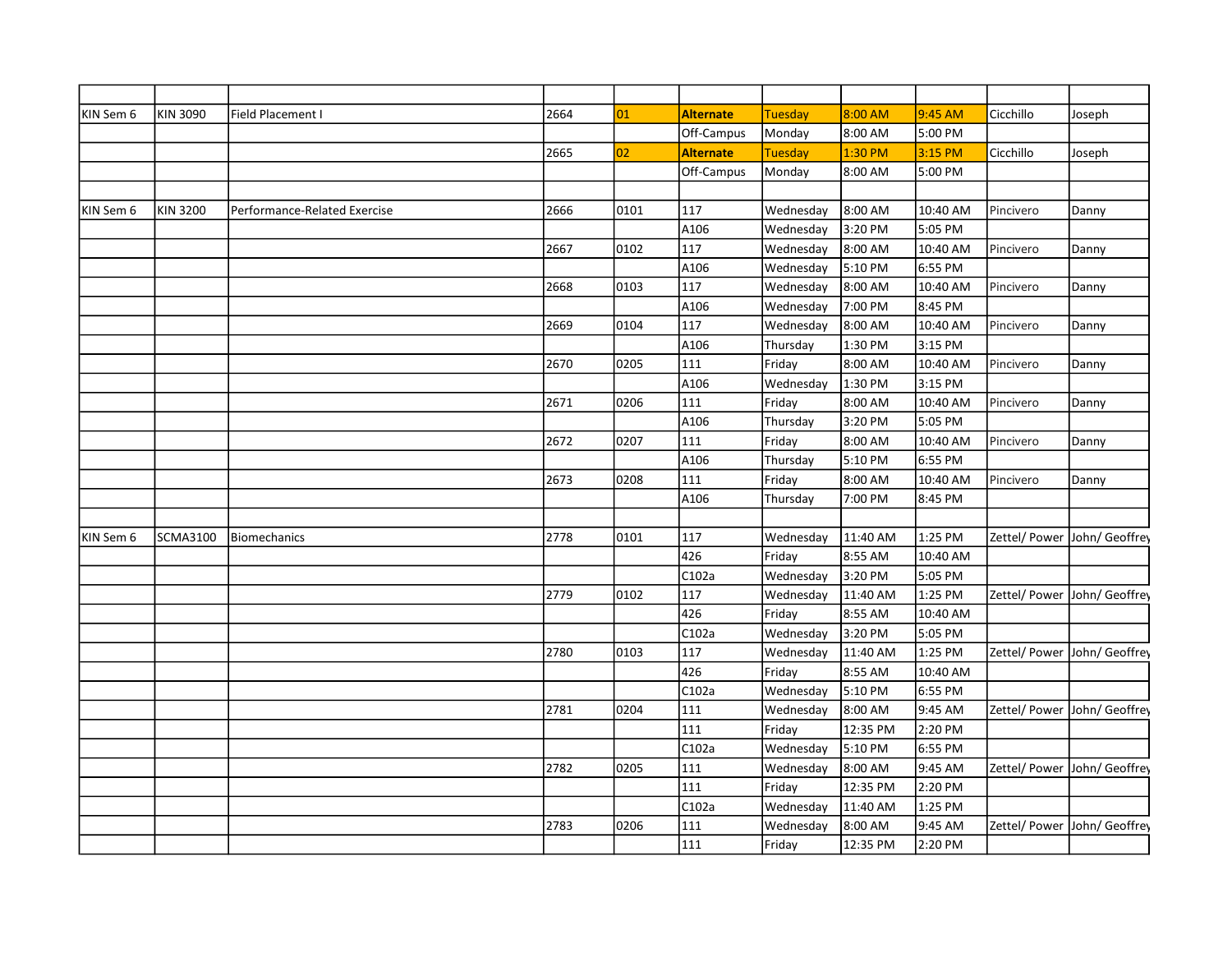| KIN Sem 6 | KIN 3090        | Field Placement I            | 2664 | 01   | <b>Alternate</b>  | <b>Tuesday</b> | 8:00 AM  | 9:45 AM  | Cicchillo | Joseph                       |
|-----------|-----------------|------------------------------|------|------|-------------------|----------------|----------|----------|-----------|------------------------------|
|           |                 |                              |      |      | Off-Campus        | Monday         | 8:00 AM  | 5:00 PM  |           |                              |
|           |                 |                              | 2665 | 02   | <b>Alternate</b>  | <b>Tuesday</b> | 1:30 PM  | 3:15 PM  | Cicchillo | Joseph                       |
|           |                 |                              |      |      | Off-Campus        | Monday         | 8:00 AM  | 5:00 PM  |           |                              |
|           |                 |                              |      |      |                   |                |          |          |           |                              |
| KIN Sem 6 | KIN 3200        | Performance-Related Exercise | 2666 | 0101 | 117               | Wednesday      | 8:00 AM  | 10:40 AM | Pincivero | Danny                        |
|           |                 |                              |      |      | A106              | Wednesday      | 3:20 PM  | 5:05 PM  |           |                              |
|           |                 |                              | 2667 | 0102 | 117               | Wednesday      | 8:00 AM  | 10:40 AM | Pincivero | Danny                        |
|           |                 |                              |      |      | A106              | Wednesday      | 5:10 PM  | 6:55 PM  |           |                              |
|           |                 |                              | 2668 | 0103 | 117               | Wednesday      | 8:00 AM  | 10:40 AM | Pincivero | Danny                        |
|           |                 |                              |      |      | A106              | Wednesday      | 7:00 PM  | 8:45 PM  |           |                              |
|           |                 |                              | 2669 | 0104 | 117               | Wednesday      | 8:00 AM  | 10:40 AM | Pincivero | Danny                        |
|           |                 |                              |      |      | A106              | Thursday       | 1:30 PM  | 3:15 PM  |           |                              |
|           |                 |                              | 2670 | 0205 | 111               | Friday         | 8:00 AM  | 10:40 AM | Pincivero | Danny                        |
|           |                 |                              |      |      | A106              | Wednesday      | 1:30 PM  | 3:15 PM  |           |                              |
|           |                 |                              | 2671 | 0206 | 111               | Friday         | 8:00 AM  | 10:40 AM | Pincivero | Danny                        |
|           |                 |                              |      |      | A106              | Thursday       | 3:20 PM  | 5:05 PM  |           |                              |
|           |                 |                              | 2672 | 0207 | 111               | Friday         | 8:00 AM  | 10:40 AM | Pincivero | Danny                        |
|           |                 |                              |      |      | A106              | Thursday       | 5:10 PM  | 6:55 PM  |           |                              |
|           |                 |                              | 2673 | 0208 | 111               | Friday         | 8:00 AM  | 10:40 AM | Pincivero | Danny                        |
|           |                 |                              |      |      | A106              | Thursday       | 7:00 PM  | 8:45 PM  |           |                              |
|           |                 |                              |      |      |                   |                |          |          |           |                              |
| KIN Sem 6 | <b>SCMA3100</b> | Biomechanics                 | 2778 | 0101 | 117               | Wednesday      | 11:40 AM | 1:25 PM  |           | Zettel/ Power John/ Geoffrey |
|           |                 |                              |      |      | 426               | Friday         | 8:55 AM  | 10:40 AM |           |                              |
|           |                 |                              |      |      | C <sub>102a</sub> | Wednesday      | 3:20 PM  | 5:05 PM  |           |                              |
|           |                 |                              | 2779 | 0102 | 117               | Wednesday      | 11:40 AM | 1:25 PM  |           | Zettel/ Power John/ Geoffrey |
|           |                 |                              |      |      | 426               | Friday         | 8:55 AM  | 10:40 AM |           |                              |
|           |                 |                              |      |      | C <sub>102a</sub> | Wednesday      | 3:20 PM  | 5:05 PM  |           |                              |
|           |                 |                              | 2780 | 0103 | 117               | Wednesday      | 11:40 AM | 1:25 PM  |           | Zettel/ Power John/ Geoffrey |
|           |                 |                              |      |      | 426               | Friday         | 8:55 AM  | 10:40 AM |           |                              |
|           |                 |                              |      |      | C102a             | Wednesday      | 5:10 PM  | 6:55 PM  |           |                              |
|           |                 |                              | 2781 | 0204 | 111               | Wednesday      | 8:00 AM  | 9:45 AM  |           | Zettel/ Power John/ Geoffrey |
|           |                 |                              |      |      | 111               | Friday         | 12:35 PM | 2:20 PM  |           |                              |
|           |                 |                              |      |      | C <sub>102a</sub> | Wednesday      | 5:10 PM  | 6:55 PM  |           |                              |
|           |                 |                              | 2782 | 0205 | 111               | Wednesday      | 8:00 AM  | 9:45 AM  |           | Zettel/ Power John/ Geoffrey |
|           |                 |                              |      |      | 111               | Friday         | 12:35 PM | 2:20 PM  |           |                              |
|           |                 |                              |      |      | C102a             | Wednesday      | 11:40 AM | 1:25 PM  |           |                              |
|           |                 |                              | 2783 | 0206 | 111               | Wednesday      | 8:00 AM  | 9:45 AM  |           | Zettel/ Power John/ Geoffrey |
|           |                 |                              |      |      | 111               | Friday         | 12:35 PM | 2:20 PM  |           |                              |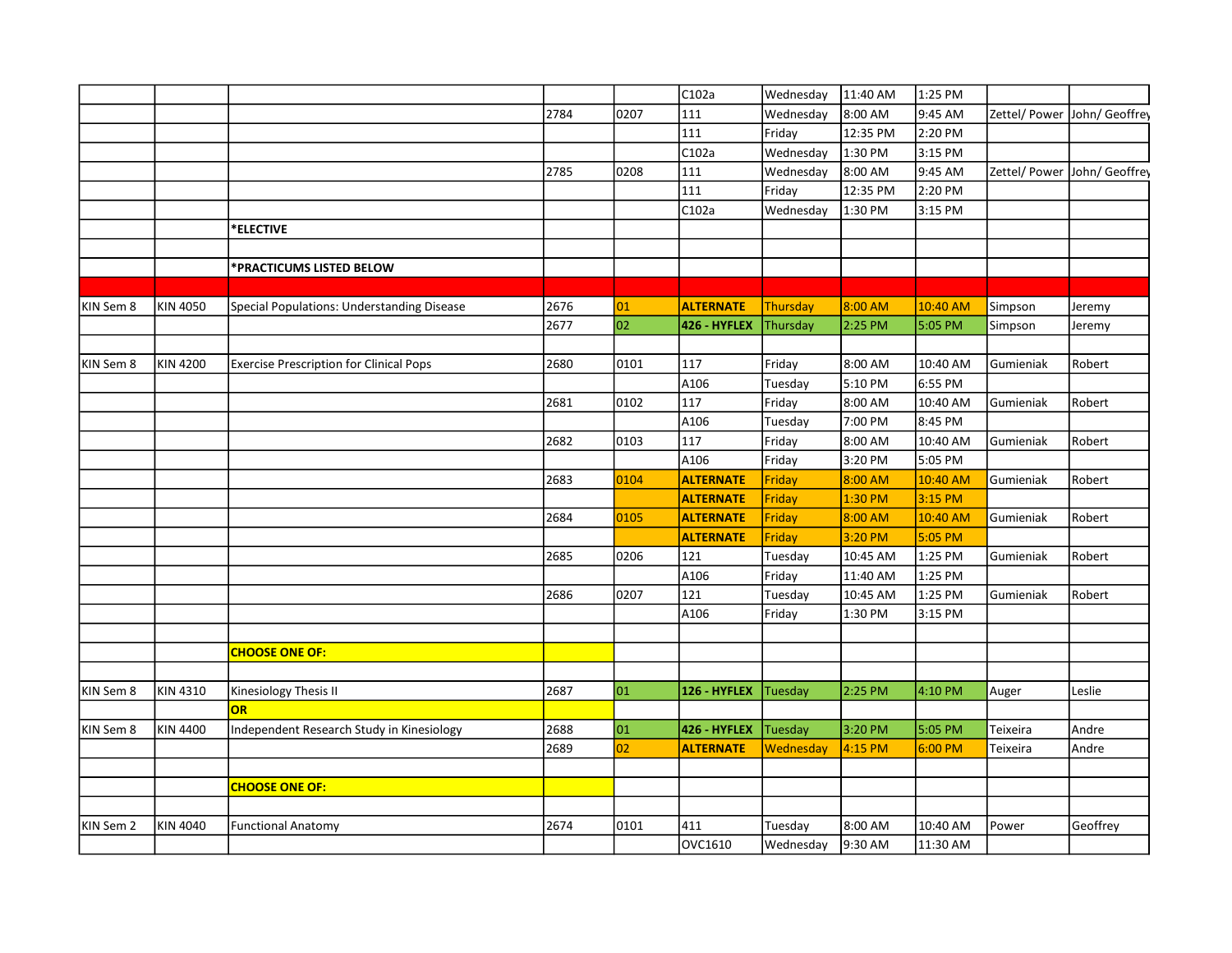|           |                 |                                                |      |      | C <sub>102a</sub> | Wednesday      | 11:40 AM  | 1:25 PM  |           |                              |
|-----------|-----------------|------------------------------------------------|------|------|-------------------|----------------|-----------|----------|-----------|------------------------------|
|           |                 |                                                | 2784 | 0207 | 111               | Wednesday      | 8:00 AM   | 9:45 AM  |           | Zettel/ Power John/ Geoffrey |
|           |                 |                                                |      |      | 111               | Friday         | 12:35 PM  | 2:20 PM  |           |                              |
|           |                 |                                                |      |      | C102a             | Wednesday      | 1:30 PM   | 3:15 PM  |           |                              |
|           |                 |                                                | 2785 | 0208 | 111               | Wednesday      | 8:00 AM   | 9:45 AM  |           | Zettel/ Power John/ Geoffrey |
|           |                 |                                                |      |      | 111               | Friday         | 12:35 PM  | 2:20 PM  |           |                              |
|           |                 |                                                |      |      | C102a             | Wednesday      | 1:30 PM   | 3:15 PM  |           |                              |
|           |                 | *ELECTIVE                                      |      |      |                   |                |           |          |           |                              |
|           |                 |                                                |      |      |                   |                |           |          |           |                              |
|           |                 | <b>*PRACTICUMS LISTED BELOW</b>                |      |      |                   |                |           |          |           |                              |
|           |                 |                                                |      |      |                   |                |           |          |           |                              |
| KIN Sem 8 | <b>KIN 4050</b> | Special Populations: Understanding Disease     | 2676 | 01   | <b>ALTERNATE</b>  | Thursday       | 8:00 AM   | 10:40 AM | Simpson   | Jeremy                       |
|           |                 |                                                | 2677 | 02   | 426 - HYFLEX      | Thursday       | 2:25 PM   | 5:05 PM  | Simpson   | Jeremy                       |
|           |                 |                                                |      |      |                   |                |           |          |           |                              |
| KIN Sem 8 | <b>KIN 4200</b> | <b>Exercise Prescription for Clinical Pops</b> | 2680 | 0101 | 117               | Friday         | 8:00 AM   | 10:40 AM | Gumieniak | Robert                       |
|           |                 |                                                |      |      | A106              | Tuesday        | 5:10 PM   | 6:55 PM  |           |                              |
|           |                 |                                                | 2681 | 0102 | 117               | Friday         | 8:00 AM   | 10:40 AM | Gumieniak | Robert                       |
|           |                 |                                                |      |      | A106              | Tuesday        | 7:00 PM   | 8:45 PM  |           |                              |
|           |                 |                                                | 2682 | 0103 | 117               | Friday         | 8:00 AM   | 10:40 AM | Gumieniak | Robert                       |
|           |                 |                                                |      |      | A <sub>106</sub>  | Friday         | 3:20 PM   | 5:05 PM  |           |                              |
|           |                 |                                                | 2683 | 0104 | <b>ALTERNATE</b>  | Friday         | 8:00 AM   | 10:40 AM | Gumieniak | Robert                       |
|           |                 |                                                |      |      | <b>ALTERNATE</b>  | Friday         | $1:30$ PM | 3:15 PM  |           |                              |
|           |                 |                                                | 2684 | 0105 | <b>ALTERNATE</b>  | Friday         | 8:00 AM   | 10:40 AM | Gumieniak | Robert                       |
|           |                 |                                                |      |      | <b>ALTERNATE</b>  | Friday         | 3:20 PM   | 5:05 PM  |           |                              |
|           |                 |                                                | 2685 | 0206 | 121               | Tuesday        | 10:45 AM  | 1:25 PM  | Gumieniak | Robert                       |
|           |                 |                                                |      |      | A106              | Friday         | 11:40 AM  | 1:25 PM  |           |                              |
|           |                 |                                                | 2686 | 0207 | 121               | Tuesday        | 10:45 AM  | 1:25 PM  | Gumieniak | Robert                       |
|           |                 |                                                |      |      | A106              | Friday         | 1:30 PM   | 3:15 PM  |           |                              |
|           |                 |                                                |      |      |                   |                |           |          |           |                              |
|           |                 | <b>CHOOSE ONE OF:</b>                          |      |      |                   |                |           |          |           |                              |
|           |                 |                                                |      |      |                   |                |           |          |           |                              |
| KIN Sem 8 | KIN 4310        | Kinesiology Thesis II                          | 2687 | 01   | 126 - HYFLEX      | <b>Tuesday</b> | 2:25 PM   | 4:10 PM  | Auger     | Leslie                       |
|           |                 | <b>OR</b>                                      |      |      |                   |                |           |          |           |                              |
| KIN Sem 8 | KIN 4400        | Independent Research Study in Kinesiology      | 2688 | 01   | 426 - HYFLEX      | <b>Tuesday</b> | 3:20 PM   | 5:05 PM  | Teixeira  | Andre                        |
|           |                 |                                                | 2689 | 02   | <b>ALTERNATE</b>  | Wednesday      | 4:15 PM   | 6:00 PM  | Teixeira  | Andre                        |
|           |                 |                                                |      |      |                   |                |           |          |           |                              |
|           |                 | <b>CHOOSE ONE OF:</b>                          |      |      |                   |                |           |          |           |                              |
|           |                 |                                                |      |      |                   |                |           |          |           |                              |
| KIN Sem 2 | KIN 4040        | <b>Functional Anatomy</b>                      | 2674 | 0101 | 411               | Tuesday        | 8:00 AM   | 10:40 AM | Power     | Geoffrey                     |
|           |                 |                                                |      |      | OVC1610           | Wednesday      | 9:30 AM   | 11:30 AM |           |                              |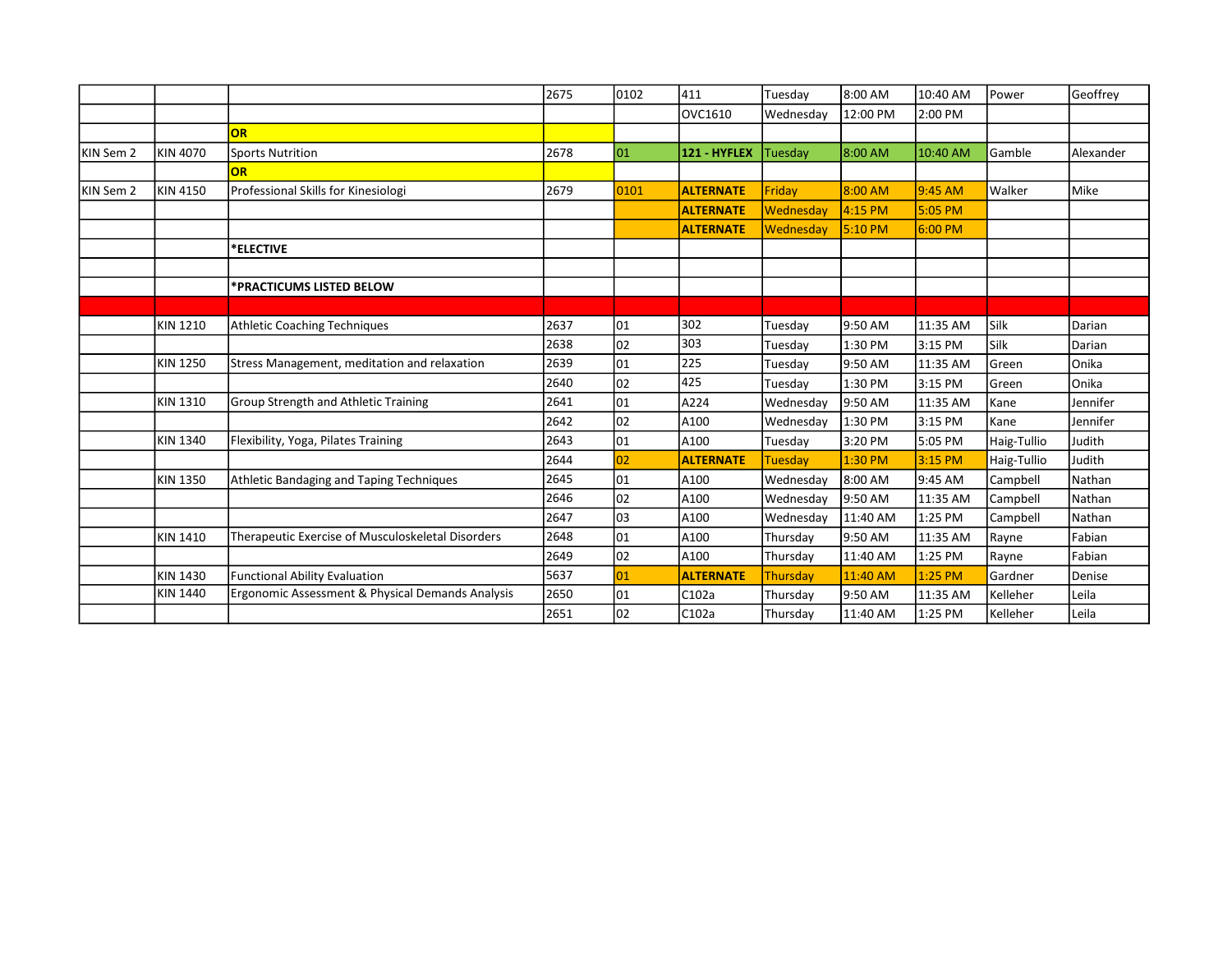|           |                 |                                                   | 2675 | 10102 | 411                 | Tuesday   | 8:00 AM  | 10:40 AM  | Power       | Geoffrey  |
|-----------|-----------------|---------------------------------------------------|------|-------|---------------------|-----------|----------|-----------|-------------|-----------|
|           |                 |                                                   |      |       | OVC1610             | Wednesday | 12:00 PM | 2:00 PM   |             |           |
|           |                 | <b>OR</b>                                         |      |       |                     |           |          |           |             |           |
| KIN Sem 2 | KIN 4070        | <b>Sports Nutrition</b>                           | 2678 | 01    | <b>121 - HYFLEX</b> | Tuesday   | 8:00 AM  | 10:40 AM  | Gamble      | Alexander |
|           |                 | OR                                                |      |       |                     |           |          |           |             |           |
| KIN Sem 2 | KIN 4150        | Professional Skills for Kinesiologi               | 2679 | 0101  | <b>ALTERNATE</b>    | Friday    | 8:00 AM  | 9:45 AM   | Walker      | Mike      |
|           |                 |                                                   |      |       | <b>ALTERNATE</b>    | Wednesday | 4:15 PM  | 5:05 PM   |             |           |
|           |                 |                                                   |      |       | <b>ALTERNATE</b>    | Wednesday | 5:10 PM  | 6:00 PM   |             |           |
|           |                 | *ELECTIVE                                         |      |       |                     |           |          |           |             |           |
|           |                 |                                                   |      |       |                     |           |          |           |             |           |
|           |                 | *PRACTICUMS LISTED BELOW                          |      |       |                     |           |          |           |             |           |
|           |                 |                                                   |      |       |                     |           |          |           |             |           |
|           | <b>KIN 1210</b> | Athletic Coaching Techniques                      | 2637 | 101   | 302                 | Tuesday   | 9:50 AM  | 11:35 AM  | Silk        | Darian    |
|           |                 |                                                   | 2638 | 02    | 303                 | Tuesday   | 1:30 PM  | 3:15 PM   | <b>Silk</b> | Darian    |
|           | KIN 1250        | Stress Management, meditation and relaxation      | 2639 | 01    | 225                 | Tuesday   | 9:50 AM  | 11:35 AM  | Green       | Onika     |
|           |                 |                                                   | 2640 | 02    | 425                 | Tuesday   | 1:30 PM  | 3:15 PM   | Green       | Onika     |
|           | KIN 1310        | Group Strength and Athletic Training              | 2641 | 101   | A224                | Wednesday | 9:50 AM  | 11:35 AM  | Kane        | Jennifer  |
|           |                 |                                                   | 2642 | 02    | A100                | Wednesday | 1:30 PM  | 3:15 PM   | Kane        | Jennifer  |
|           | KIN 1340        | Flexibility, Yoga, Pilates Training               | 2643 | 101   | A100                | Tuesday   | 3:20 PM  | 5:05 PM   | Haig-Tullio | Judith    |
|           |                 |                                                   | 2644 | 02    | <b>ALTERNATE</b>    | Tuesday   | 1:30 PM  | $3:15$ PM | Haig-Tullio | Judith    |
|           | KIN 1350        | Athletic Bandaging and Taping Techniques          | 2645 | 101   | A100                | Wednesday | 8:00 AM  | 9:45 AM   | Campbell    | Nathan    |
|           |                 |                                                   | 2646 | 02    | A100                | Wednesday | 9:50 AM  | 11:35 AM  | Campbell    | Nathan    |
|           |                 |                                                   | 2647 | 03    | A100                | Wednesday | 11:40 AM | 1:25 PM   | Campbell    | Nathan    |
|           | KIN 1410        | Therapeutic Exercise of Musculoskeletal Disorders | 2648 | 101   | A100                | Thursday  | 9:50 AM  | 11:35 AM  | Rayne       | Fabian    |
|           |                 |                                                   | 2649 | 02    | A100                | Thursday  | 11:40 AM | 1:25 PM   | Rayne       | Fabian    |
|           | KIN 1430        | <b>Functional Ability Evaluation</b>              | 5637 | 01    | <b>ALTERNATE</b>    | Thursday  | 11:40 AM | 1:25 PM   | lGardner    | Denise    |
|           | <b>KIN 1440</b> | Ergonomic Assessment & Physical Demands Analysis  | 2650 | 101   | C102a               | Thursday  | 9:50 AM  | 11:35 AM  | Kelleher    | Leila     |
|           |                 |                                                   | 2651 | 02    | C102a               | Thursday  | 11:40 AM | 1:25 PM   | Kelleher    | Leila     |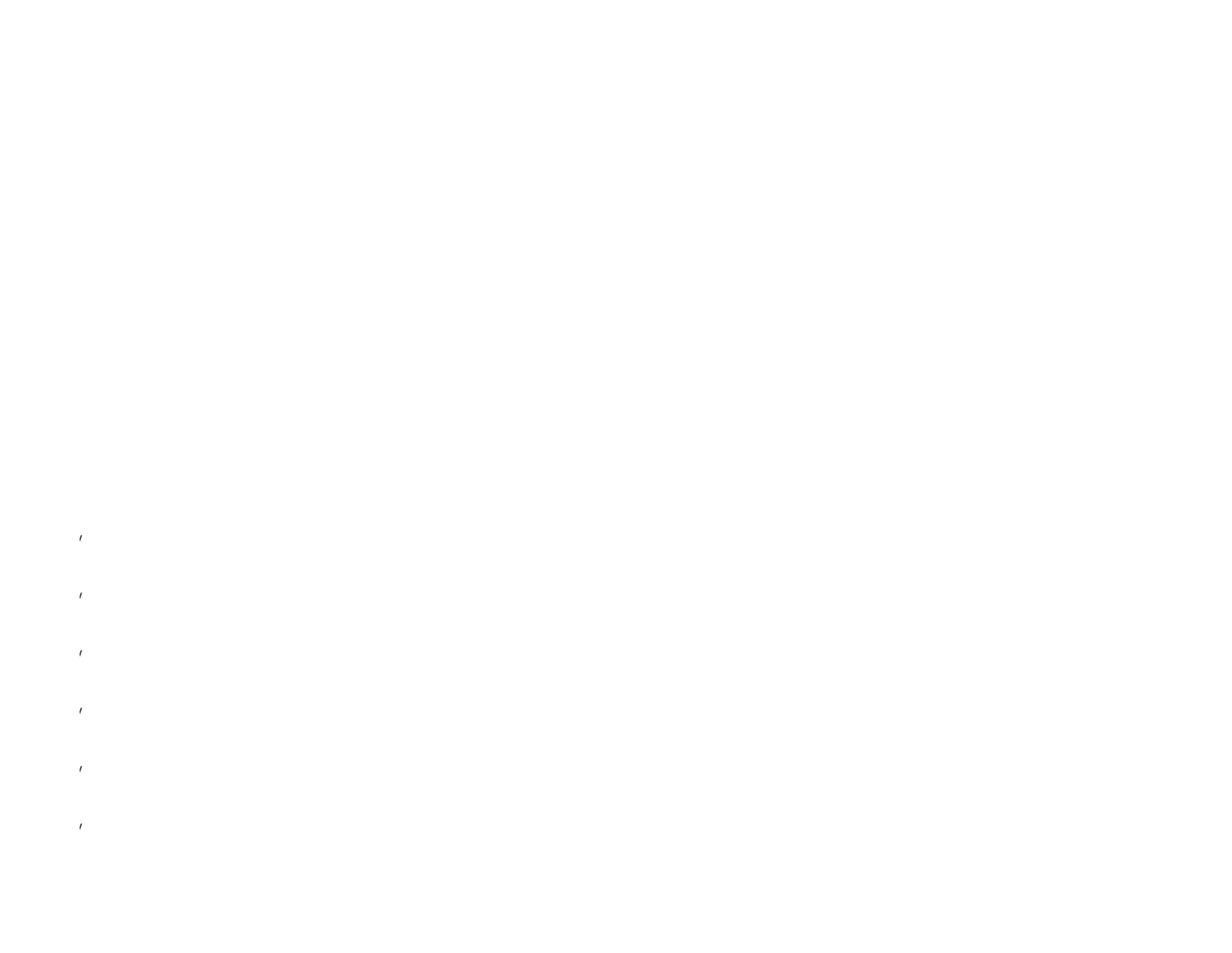$\prime$ 

 $\prime$  $\prime$ 

 $\prime$ 

 $\prime$ 

 $\sqrt{ }$